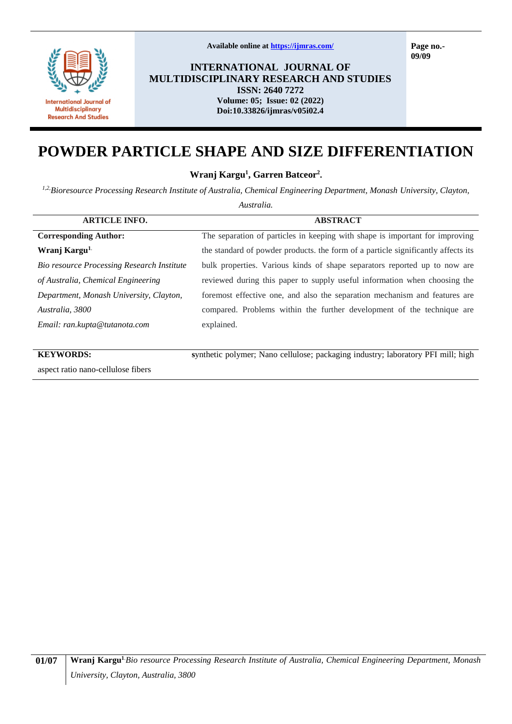

**Available online at<https://ijmras.com/>**

**Page no.- 09/09**

**INTERNATIONAL JOURNAL OF MULTIDISCIPLINARY RESEARCH AND STUDIES ISSN: 2640 7272 Volume: 05; Issue: 02 (2022) Doi:10.33826/ijmras/v05i02.4**

# **POWDER PARTICLE SHAPE AND SIZE DIFFERENTIATION**

**Wranj Kargu<sup>1</sup> , Garren Batceor<sup>2</sup> .**

*1,2,Bioresource Processing Research Institute of Australia, Chemical Engineering Department, Monash University, Clayton,* 

*Australia.*

| <b>ARTICLE INFO.</b>                       | <b>ABSTRACT</b>                                                                   |
|--------------------------------------------|-----------------------------------------------------------------------------------|
| <b>Corresponding Author:</b>               | The separation of particles in keeping with shape is important for improving      |
| Wranj Kargu <sup>1.</sup>                  | the standard of powder products, the form of a particle significantly affects its |
| Bio resource Processing Research Institute | bulk properties. Various kinds of shape separators reported up to now are         |
| of Australia, Chemical Engineering         | reviewed during this paper to supply useful information when choosing the         |
| Department, Monash University, Clayton,    | foremost effective one, and also the separation mechanism and features are        |
| Australia, 3800                            | compared. Problems within the further development of the technique are            |
| Email: ran.kupta@tutanota.com              | explained.                                                                        |
|                                            |                                                                                   |
| <b>KEYWORDS:</b>                           | synthetic polymer; Nano cellulose; packaging industry; laboratory PFI mill; high  |
|                                            |                                                                                   |

aspect ratio nano-cellulose fibers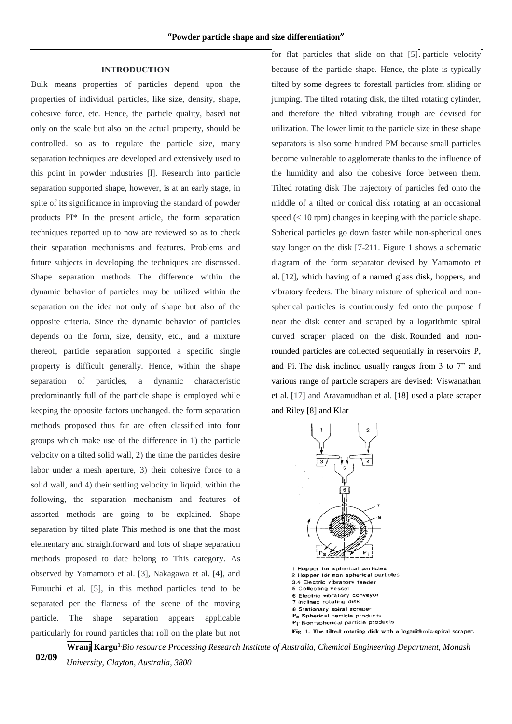#### **INTRODUCTION**

Bulk means properties of particles depend upon the properties of individual particles, like size, density, shape, cohesive force, etc. Hence, the particle quality, based not only on the scale but also on the actual property, should be controlled. so as to regulate the particle size, many separation techniques are developed and extensively used to this point in powder industries [l]. Research into particle separation supported shape, however, is at an early stage, in spite of its significance in improving the standard of powder products PI\* In the present article, the form separation techniques reported up to now are reviewed so as to check their separation mechanisms and features. Problems and future subjects in developing the techniques are discussed. Shape separation methods The difference within the dynamic behavior of particles may be utilized within the separation on the idea not only of shape but also of the opposite criteria. Since the dynamic behavior of particles depends on the form, size, density, etc., and a mixture thereof, particle separation supported a specific single property is difficult generally. Hence, within the shape separation of particles, a dynamic characteristic predominantly full of the particle shape is employed while keeping the opposite factors unchanged. the form separation methods proposed thus far are often classified into four groups which make use of the difference in 1) the particle velocity on a tilted solid wall, 2) the time the particles desire labor under a mesh aperture, 3) their cohesive force to a solid wall, and 4) their settling velocity in liquid. within the following, the separation mechanism and features of assorted methods are going to be explained. Shape separation by tilted plate This method is one that the most elementary and straightforward and lots of shape separation methods proposed to date belong to This category. As observed by Yamamoto et al. [3], Nakagawa et al. [4], and Furuuchi et al. [5], in this method particles tend to be separated per the flatness of the scene of the moving particle. The shape separation appears applicable particularly for round particles that roll on the plate but not

for flat particles that slide on that [5]. particle velocity because of the particle shape. Hence, the plate is typically tilted by some degrees to forestall particles from sliding or jumping. The tilted rotating disk, the tilted rotating cylinder, and therefore the tilted vibrating trough are devised for utilization. The lower limit to the particle size in these shape separators is also some hundred PM because small particles become vulnerable to agglomerate thanks to the influence of the humidity and also the cohesive force between them. Tilted rotating disk The trajectory of particles fed onto the middle of a tilted or conical disk rotating at an occasional speed  $(< 10$  rpm) changes in keeping with the particle shape. Spherical particles go down faster while non-spherical ones stay longer on the disk [7-211. Figure 1 shows a schematic diagram of the form separator devised by Yamamoto et al. [12], which having of a named glass disk, hoppers, and vibratory feeders. The binary mixture of spherical and nonspherical particles is continuously fed onto the purpose f near the disk center and scraped by a logarithmic spiral curved scraper placed on the disk. Rounded and nonrounded particles are collected sequentially in reservoirs P, and Pi. The disk inclined usually ranges from 3 to 7" and various range of particle scrapers are devised: Viswanathan et al. [17] and Aravamudhan et al. [18] used a plate scraper and Riley [8] and Klar



5 Collecting vessel 6 Electric vibratory conveyor 7 Inclined rotating disk 8 Stationary spiral scraper P<sub>3</sub> Spherical particle products P<sub>i</sub> Non-spherical particle products Fig. 1. The tilted rotating disk with a logarithmic-spiral scraper.

**02/09**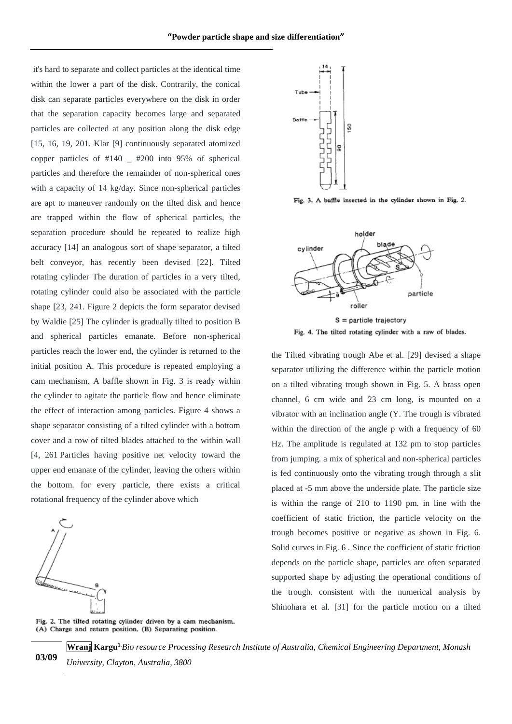it's hard to separate and collect particles at the identical time within the lower a part of the disk. Contrarily, the conical disk can separate particles everywhere on the disk in order that the separation capacity becomes large and separated particles are collected at any position along the disk edge [15, 16, 19, 201. Klar [9] continuously separated atomized copper particles of #140 \_ #200 into 95% of spherical particles and therefore the remainder of non-spherical ones with a capacity of 14 kg/day. Since non-spherical particles are apt to maneuver randomly on the tilted disk and hence are trapped within the flow of spherical particles, the separation procedure should be repeated to realize high accuracy [14] an analogous sort of shape separator, a tilted belt conveyor, has recently been devised [22]. Tilted rotating cylinder The duration of particles in a very tilted, rotating cylinder could also be associated with the particle shape [23, 241. Figure 2 depicts the form separator devised by Waldie [25] The cylinder is gradually tilted to position B and spherical particles emanate. Before non-spherical particles reach the lower end, the cylinder is returned to the initial position A. This procedure is repeated employing a cam mechanism. A baffle shown in Fig. 3 is ready within the cylinder to agitate the particle flow and hence eliminate the effect of interaction among particles. Figure 4 shows a shape separator consisting of a tilted cylinder with a bottom cover and a row of tilted blades attached to the within wall [4, 261 Particles having positive net velocity toward the upper end emanate of the cylinder, leaving the others within the bottom. for every particle, there exists a critical rotational frequency of the cylinder above which



**03/09**



Fig. 3. A baffle inserted in the cylinder shown in Fig. 2.



the Tilted vibrating trough Abe et al. [29] devised a shape separator utilizing the difference within the particle motion on a tilted vibrating trough shown in Fig. 5. A brass open channel, 6 cm wide and 23 cm long, is mounted on a vibrator with an inclination angle (Y. The trough is vibrated within the direction of the angle p with a frequency of 60 Hz. The amplitude is regulated at 132 pm to stop particles from jumping. a mix of spherical and non-spherical particles is fed continuously onto the vibrating trough through a slit placed at -5 mm above the underside plate. The particle size is within the range of 210 to 1190 pm. in line with the coefficient of static friction, the particle velocity on the trough becomes positive or negative as shown in Fig. 6. Solid curves in Fig. 6 . Since the coefficient of static friction depends on the particle shape, particles are often separated supported shape by adjusting the operational conditions of the trough. consistent with the numerical analysis by Shinohara et al. [31] for the particle motion on a tilted

Fig. 2. The tilted rotating cylinder driven by a cam mechanism. (A) Charge and return position. (B) Separating position.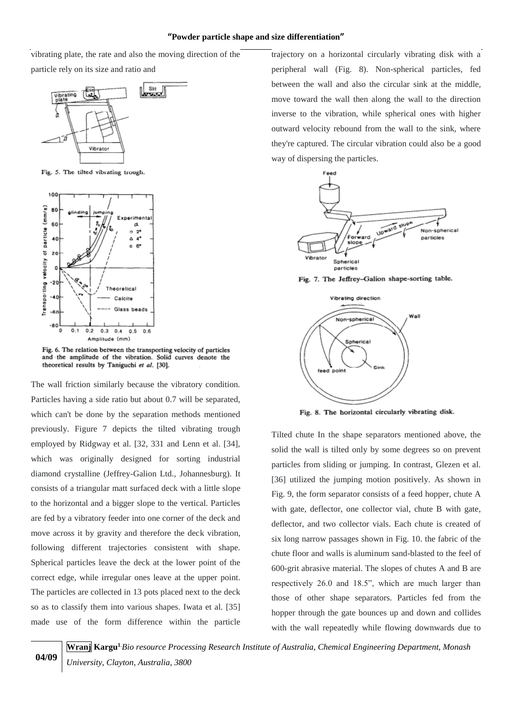#### **"Powder particle shape and size differentiation"**

vibrating plate, the rate and also the moving direction of the particle rely on its size and ratio and



Fig. 5. The tilted vibrating trough.



Fig. 6. The relation between the transporting velocity of particles and the amplitude of the vibration. Solid curves denote the theoretical results by Taniguchi et al. [30].

The wall friction similarly because the vibratory condition. Particles having a side ratio but about 0.7 will be separated, which can't be done by the separation methods mentioned previously. Figure 7 depicts the tilted vibrating trough employed by Ridgway et al. [32, 331 and Lenn et al. [34], which was originally designed for sorting industrial diamond crystalline (Jeffrey-Galion Ltd., Johannesburg). It consists of a triangular matt surfaced deck with a little slope to the horizontal and a bigger slope to the vertical. Particles are fed by a vibratory feeder into one corner of the deck and move across it by gravity and therefore the deck vibration, following different trajectories consistent with shape. Spherical particles leave the deck at the lower point of the correct edge, while irregular ones leave at the upper point. The particles are collected in 13 pots placed next to the deck so as to classify them into various shapes. Iwata et al. [35] made use of the form difference within the particle trajectory on a horizontal circularly vibrating disk with a peripheral wall (Fig. 8). Non-spherical particles, fed between the wall and also the circular sink at the middle, move toward the wall then along the wall to the direction inverse to the vibration, while spherical ones with higher outward velocity rebound from the wall to the sink, where they're captured. The circular vibration could also be a good way of dispersing the particles.



Fig. 7. The Jeffrey-Galion shape-sorting table.



Fig. 8. The horizontal circularly vibrating disk.

Tilted chute In the shape separators mentioned above, the solid the wall is tilted only by some degrees so on prevent particles from sliding or jumping. In contrast, Glezen et al. [36] utilized the jumping motion positively. As shown in Fig. 9, the form separator consists of a feed hopper, chute A with gate, deflector, one collector vial, chute B with gate, deflector, and two collector vials. Each chute is created of six long narrow passages shown in Fig. 10. the fabric of the chute floor and walls is aluminum sand-blasted to the feel of 600-grit abrasive material. The slopes of chutes A and B are respectively 26.0 and 18.5", which are much larger than those of other shape separators. Particles fed from the hopper through the gate bounces up and down and collides with the wall repeatedly while flowing downwards due to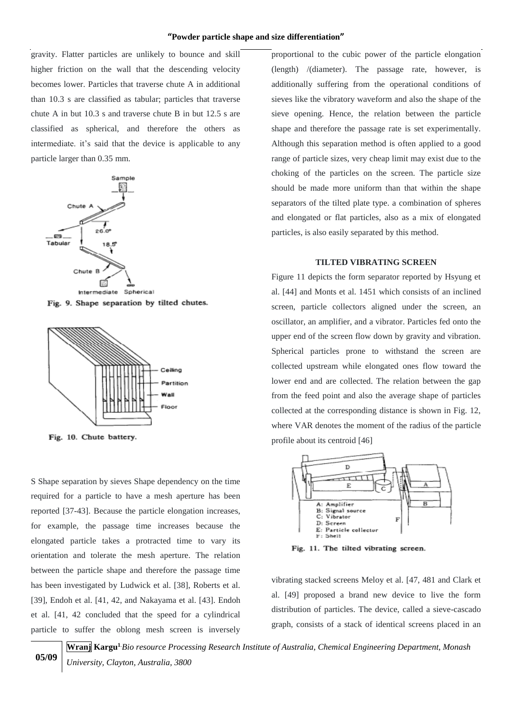gravity. Flatter particles are unlikely to bounce and skill higher friction on the wall that the descending velocity becomes lower. Particles that traverse chute A in additional than 10.3 s are classified as tabular; particles that traverse chute A in but 10.3 s and traverse chute B in but 12.5 s are classified as spherical, and therefore the others as intermediate. it's said that the device is applicable to any particle larger than 0.35 mm.







Fig. 10. Chute battery.

**05/09**

S Shape separation by sieves Shape dependency on the time required for a particle to have a mesh aperture has been reported [37-43]. Because the particle elongation increases, for example, the passage time increases because the elongated particle takes a protracted time to vary its orientation and tolerate the mesh aperture. The relation between the particle shape and therefore the passage time has been investigated by Ludwick et al. [38], Roberts et al. [39], Endoh et al. [41, 42, and Nakayama et al. [43]. Endoh et al. [41, 42 concluded that the speed for a cylindrical particle to suffer the oblong mesh screen is inversely proportional to the cubic power of the particle elongation (length) /(diameter). The passage rate, however, is additionally suffering from the operational conditions of sieves like the vibratory waveform and also the shape of the sieve opening. Hence, the relation between the particle shape and therefore the passage rate is set experimentally. Although this separation method is often applied to a good range of particle sizes, very cheap limit may exist due to the choking of the particles on the screen. The particle size should be made more uniform than that within the shape separators of the tilted plate type. a combination of spheres and elongated or flat particles, also as a mix of elongated particles, is also easily separated by this method.

### **TILTED VIBRATING SCREEN**

Figure 11 depicts the form separator reported by Hsyung et al. [44] and Monts et al. 1451 which consists of an inclined screen, particle collectors aligned under the screen, an oscillator, an amplifier, and a vibrator. Particles fed onto the upper end of the screen flow down by gravity and vibration. Spherical particles prone to withstand the screen are collected upstream while elongated ones flow toward the lower end and are collected. The relation between the gap from the feed point and also the average shape of particles collected at the corresponding distance is shown in Fig. 12, where VAR denotes the moment of the radius of the particle profile about its centroid [46]



Fig. 11. The tilted vibrating screen.

vibrating stacked screens Meloy et al. [47, 481 and Clark et al. [49] proposed a brand new device to live the form distribution of particles. The device, called a sieve-cascado graph, consists of a stack of identical screens placed in an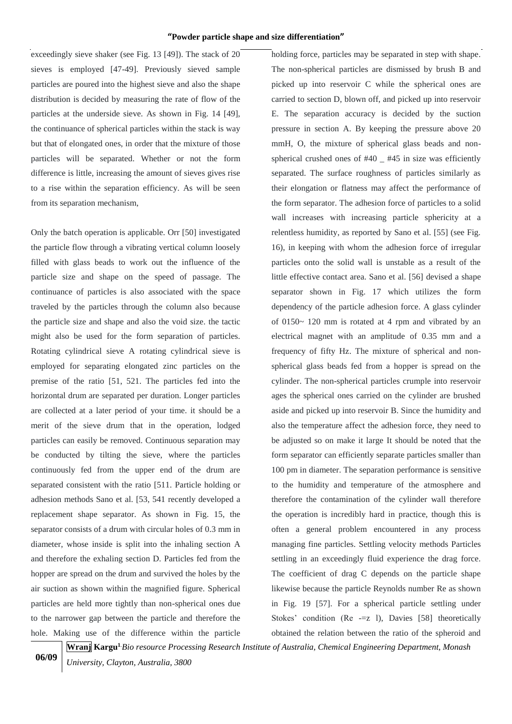exceedingly sieve shaker (see Fig. 13 [49]). The stack of 20 sieves is employed [47-49]. Previously sieved sample particles are poured into the highest sieve and also the shape distribution is decided by measuring the rate of flow of the particles at the underside sieve. As shown in Fig. 14 [49], the continuance of spherical particles within the stack is way but that of elongated ones, in order that the mixture of those particles will be separated. Whether or not the form difference is little, increasing the amount of sieves gives rise to a rise within the separation efficiency. As will be seen from its separation mechanism,

Only the batch operation is applicable. Orr [50] investigated the particle flow through a vibrating vertical column loosely filled with glass beads to work out the influence of the particle size and shape on the speed of passage. The continuance of particles is also associated with the space traveled by the particles through the column also because the particle size and shape and also the void size. the tactic might also be used for the form separation of particles. Rotating cylindrical sieve A rotating cylindrical sieve is employed for separating elongated zinc particles on the premise of the ratio [51, 521. The particles fed into the horizontal drum are separated per duration. Longer particles are collected at a later period of your time. it should be a merit of the sieve drum that in the operation, lodged particles can easily be removed. Continuous separation may be conducted by tilting the sieve, where the particles continuously fed from the upper end of the drum are separated consistent with the ratio [511. Particle holding or adhesion methods Sano et al. [53, 541 recently developed a replacement shape separator. As shown in Fig. 15, the separator consists of a drum with circular holes of 0.3 mm in diameter, whose inside is split into the inhaling section A and therefore the exhaling section D. Particles fed from the hopper are spread on the drum and survived the holes by the air suction as shown within the magnified figure. Spherical particles are held more tightly than non-spherical ones due to the narrower gap between the particle and therefore the hole. Making use of the difference within the particle

holding force, particles may be separated in step with shape. The non-spherical particles are dismissed by brush B and picked up into reservoir C while the spherical ones are carried to section D, blown off, and picked up into reservoir E. The separation accuracy is decided by the suction pressure in section A. By keeping the pressure above 20 mmH, O, the mixture of spherical glass beads and nonspherical crushed ones of #40 \_ #45 in size was efficiently separated. The surface roughness of particles similarly as their elongation or flatness may affect the performance of the form separator. The adhesion force of particles to a solid wall increases with increasing particle sphericity at a relentless humidity, as reported by Sano et al. [55] (see Fig. 16), in keeping with whom the adhesion force of irregular particles onto the solid wall is unstable as a result of the little effective contact area. Sano et al. [56] devised a shape separator shown in Fig. 17 which utilizes the form dependency of the particle adhesion force. A glass cylinder of 0150~ 120 mm is rotated at 4 rpm and vibrated by an electrical magnet with an amplitude of 0.35 mm and a frequency of fifty Hz. The mixture of spherical and nonspherical glass beads fed from a hopper is spread on the cylinder. The non-spherical particles crumple into reservoir ages the spherical ones carried on the cylinder are brushed aside and picked up into reservoir B. Since the humidity and also the temperature affect the adhesion force, they need to be adjusted so on make it large It should be noted that the form separator can efficiently separate particles smaller than 100 pm in diameter. The separation performance is sensitive to the humidity and temperature of the atmosphere and therefore the contamination of the cylinder wall therefore the operation is incredibly hard in practice, though this is often a general problem encountered in any process managing fine particles. Settling velocity methods Particles settling in an exceedingly fluid experience the drag force. The coefficient of drag C depends on the particle shape likewise because the particle Reynolds number Re as shown in Fig. 19 [57]. For a spherical particle settling under Stokes' condition ( $\text{Re}$  -=z 1), Davies [58] theoretically obtained the relation between the ratio of the spheroid and

**06/09**

**Wranj Kargu<sup>1</sup>**.*Bio resource Processing Research Institute of Australia, Chemical Engineering Department, Monash* 

*University, Clayton, Australia, 3800*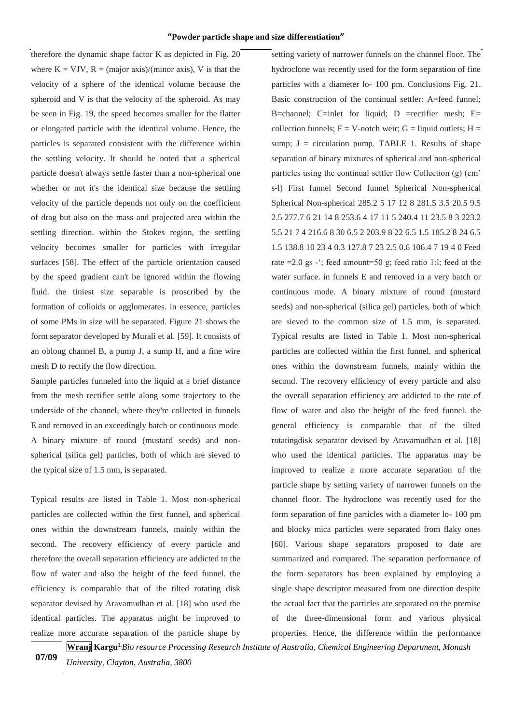therefore the dynamic shape factor K as depicted in Fig. 20 where  $K = VJV$ ,  $R = (major axis)/(minor axis)$ , V is that the velocity of a sphere of the identical volume because the spheroid and V is that the velocity of the spheroid. As may be seen in Fig. 19, the speed becomes smaller for the flatter or elongated particle with the identical volume. Hence, the particles is separated consistent with the difference within the settling velocity. It should be noted that a spherical particle doesn't always settle faster than a non-spherical one whether or not it's the identical size because the settling velocity of the particle depends not only on the coefficient of drag but also on the mass and projected area within the settling direction. within the Stokes region, the settling velocity becomes smaller for particles with irregular surfaces [58]. The effect of the particle orientation caused by the speed gradient can't be ignored within the flowing fluid. the tiniest size separable is proscribed by the formation of colloids or agglomerates. in essence, particles of some PMs in size will be separated. Figure 21 shows the form separator developed by Murali et al. [59]. It consists of an oblong channel B, a pump J, a sump H, and a fine wire mesh D to rectify the flow direction.

Sample particles funneled into the liquid at a brief distance from the mesh rectifier settle along some trajectory to the underside of the channel, where they're collected in funnels E and removed in an exceedingly batch or continuous mode. A binary mixture of round (mustard seeds) and nonspherical (silica gel) particles, both of which are sieved to the typical size of 1.5 mm, is separated.

Typical results are listed in Table 1. Most non-spherical particles are collected within the first funnel, and spherical ones within the downstream funnels, mainly within the second. The recovery efficiency of every particle and therefore the overall separation efficiency are addicted to the flow of water and also the height of the feed funnel. the efficiency is comparable that of the tilted rotating disk separator devised by Aravamudhan et al. [18] who used the identical particles. The apparatus might be improved to realize more accurate separation of the particle shape by setting variety of narrower funnels on the channel floor. The hydroclone was recently used for the form separation of fine particles with a diameter lo- 100 pm. Conclusions Fig. 21. Basic construction of the continual settler: A=feed funnel; B=channel; C=inlet for liquid; D =rectifier mesh; E= collection funnels;  $F = V$ -notch weir;  $G =$  liquid outlets;  $H =$ sump;  $J =$  circulation pump. TABLE 1. Results of shape separation of binary mixtures of spherical and non-spherical particles using the continual settler flow Collection (g) (cm' s-l) First funnel Second funnel Spherical Non-spherical Spherical Non-spherical 285.2 5 17 12 8 281.5 3.5 20.5 9.5 2.5 277.7 6 21 14 8 253.6 4 17 11 5 240.4 11 23.5 8 3 223.2 5.5 21 7 4 216.6 8 30 6.5 2 203.9 8 22 6.5 1.5 185.2 8 24 6.5 1.5 138.8 10 23 4 0.3 127.8 7 23 2.5 0.6 106.4 7 19 4 0 Feed rate  $=2.0$  gs -'; feed amount=50 g; feed ratio 1:l; feed at the water surface. in funnels E and removed in a very batch or continuous mode. A binary mixture of round (mustard seeds) and non-spherical (silica gel) particles, both of which are sieved to the common size of 1.5 mm, is separated. Typical results are listed in Table 1. Most non-spherical particles are collected within the first funnel, and spherical ones within the downstream funnels, mainly within the second. The recovery efficiency of every particle and also the overall separation efficiency are addicted to the rate of flow of water and also the height of the feed funnel. the general efficiency is comparable that of the tilted rotatingdisk separator devised by Aravamudhan et al. [18] who used the identical particles. The apparatus may be improved to realize a more accurate separation of the particle shape by setting variety of narrower funnels on the channel floor. The hydroclone was recently used for the form separation of fine particles with a diameter lo- 100 pm and blocky mica particles were separated from flaky ones [60]. Various shape separators proposed to date are summarized and compared. The separation performance of the form separators has been explained by employing a single shape descriptor measured from one direction despite the actual fact that the particles are separated on the premise of the three-dimensional form and various physical properties. Hence, the difference within the performance

**07/09**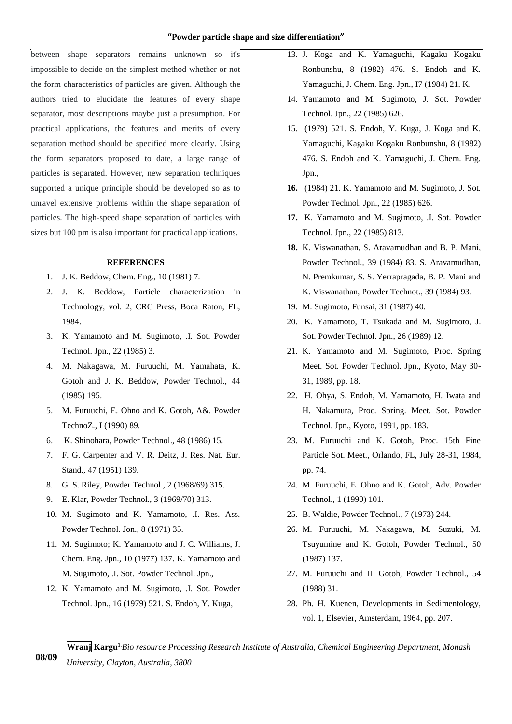between shape separators remains unknown so it's impossible to decide on the simplest method whether or not the form characteristics of particles are given. Although the authors tried to elucidate the features of every shape separator, most descriptions maybe just a presumption. For practical applications, the features and merits of every separation method should be specified more clearly. Using the form separators proposed to date, a large range of particles is separated. However, new separation techniques supported a unique principle should be developed so as to unravel extensive problems within the shape separation of particles. The high-speed shape separation of particles with sizes but 100 pm is also important for practical applications.

## **REFERENCES**

- 1. J. K. Beddow, Chem. Eng., 10 (1981) 7.
- 2. J. K. Beddow, Particle characterization in Technology, vol. 2, CRC Press, Boca Raton, FL, 1984.
- 3. K. Yamamoto and M. Sugimoto, .I. Sot. Powder Technol. Jpn., 22 (1985) 3.
- 4. M. Nakagawa, M. Furuuchi, M. Yamahata, K. Gotoh and J. K. Beddow, Powder Technol., 44 (1985) 195.
- 5. M. Furuuchi, E. Ohno and K. Gotoh, A&. Powder TechnoZ., I (1990) 89.
- 6. K. Shinohara, Powder Technol., 48 (1986) 15.
- 7. F. G. Carpenter and V. R. Deitz, J. Res. Nat. Eur. Stand., 47 (1951) 139.
- 8. G. S. Riley, Powder Technol., 2 (1968/69) 315.
- 9. E. Klar, Powder Technol., 3 (1969/70) 313.
- 10. M. Sugimoto and K. Yamamoto, .I. Res. Ass. Powder Technol. Jon., 8 (1971) 35.
- 11. M. Sugimoto; K. Yamamoto and J. C. Williams, J. Chem. Eng. Jpn., 10 (1977) 137. K. Yamamoto and M. Sugimoto, .I. Sot. Powder Technol. Jpn.,
- 12. K. Yamamoto and M. Sugimoto, .I. Sot. Powder Technol. Jpn., 16 (1979) 521. S. Endoh, Y. Kuga,
- 13. J. Koga and K. Yamaguchi, Kagaku Kogaku Ronbunshu, 8 (1982) 476. S. Endoh and K. Yamaguchi, J. Chem. Eng. Jpn., I7 (1984) 21. K.
- 14. Yamamoto and M. Sugimoto, J. Sot. Powder Technol. Jpn., 22 (1985) 626.
- 15. (1979) 521. S. Endoh, Y. Kuga, J. Koga and K. Yamaguchi, Kagaku Kogaku Ronbunshu, 8 (1982) 476. S. Endoh and K. Yamaguchi, J. Chem. Eng. Jpn.,
- **16.** (1984) 21. K. Yamamoto and M. Sugimoto, J. Sot. Powder Technol. Jpn., 22 (1985) 626.
- **17.** K. Yamamoto and M. Sugimoto, .I. Sot. Powder Technol. Jpn., 22 (1985) 813.
- **18.** K. Viswanathan, S. Aravamudhan and B. P. Mani, Powder Technol., 39 (1984) 83. S. Aravamudhan, N. Premkumar, S. S. Yerrapragada, B. P. Mani and K. Viswanathan, Powder Technot., 39 (1984) 93.
- 19. M. Sugimoto, Funsai, 31 (1987) 40.
- 20. K. Yamamoto, T. Tsukada and M. Sugimoto, J. Sot. Powder Technol. Jpn., 26 (1989) 12.
- 21. K. Yamamoto and M. Sugimoto, Proc. Spring Meet. Sot. Powder Technol. Jpn., Kyoto, May 30- 31, 1989, pp. 18.
- 22. H. Ohya, S. Endoh, M. Yamamoto, H. Iwata and H. Nakamura, Proc. Spring. Meet. Sot. Powder Technol. Jpn., Kyoto, 1991, pp. 183.
- 23. M. Furuuchi and K. Gotoh, Proc. 15th Fine Particle Sot. Meet., Orlando, FL, July 28-31, 1984, pp. 74.
- 24. M. Furuuchi, E. Ohno and K. Gotoh, Adv. Powder Technol., 1 (1990) 101.
- 25. B. Waldie, Powder Technol., 7 (1973) 244.
- 26. M. Furuuchi, M. Nakagawa, M. Suzuki, M. Tsuyumine and K. Gotoh, Powder Technol., 50 (1987) 137.
- 27. M. Furuuchi and IL Gotoh, Powder Technol., 54 (1988) 31.
- 28. Ph. H. Kuenen, Developments in Sedimentology, vol. 1, Elsevier, Amsterdam, 1964, pp. 207.